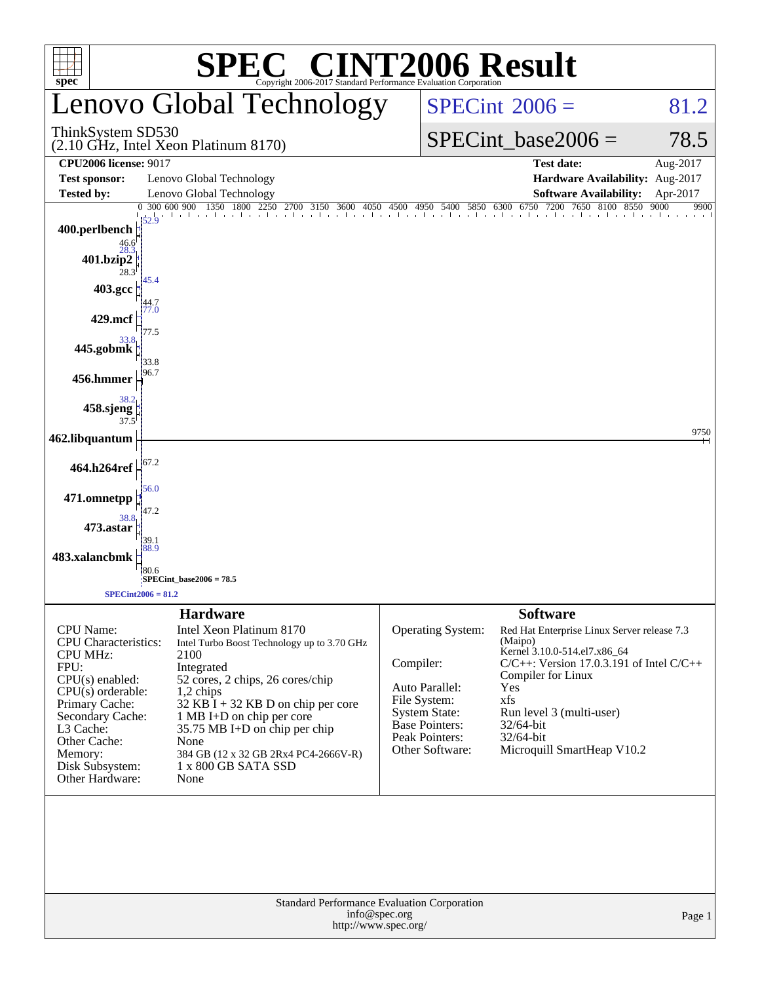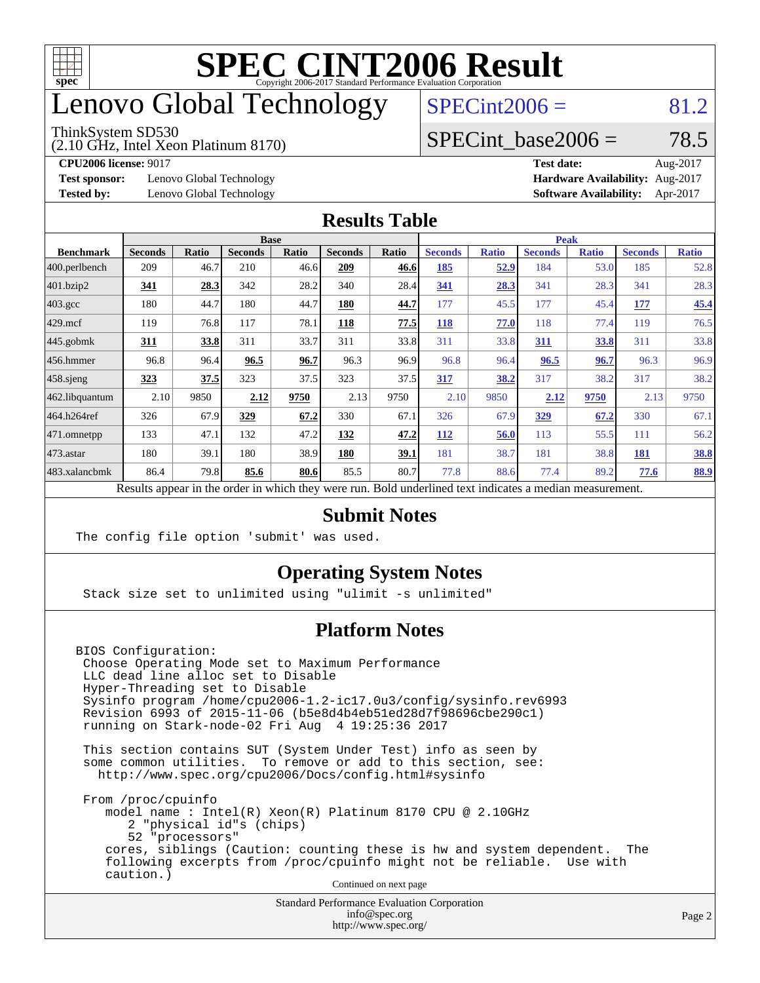

## enovo Global Technology

#### ThinkSystem SD530

(2.10 GHz, Intel Xeon Platinum 8170)

 $SPECint2006 = 81.2$  $SPECint2006 = 81.2$ 

### SPECint base2006 =  $78.5$

**[Test sponsor:](http://www.spec.org/auto/cpu2006/Docs/result-fields.html#Testsponsor)** Lenovo Global Technology **[Hardware Availability:](http://www.spec.org/auto/cpu2006/Docs/result-fields.html#HardwareAvailability)** Aug-2017

**[CPU2006 license:](http://www.spec.org/auto/cpu2006/Docs/result-fields.html#CPU2006license)** 9017 **[Test date:](http://www.spec.org/auto/cpu2006/Docs/result-fields.html#Testdate)** Aug-2017 **[Tested by:](http://www.spec.org/auto/cpu2006/Docs/result-fields.html#Testedby)** Lenovo Global Technology **[Software Availability:](http://www.spec.org/auto/cpu2006/Docs/result-fields.html#SoftwareAvailability)** Apr-2017

#### **[Results Table](http://www.spec.org/auto/cpu2006/Docs/result-fields.html#ResultsTable)**

|                                                                                                          | <b>Base</b>    |       |                |       |                |       | <b>Peak</b>    |              |                |              |                |              |
|----------------------------------------------------------------------------------------------------------|----------------|-------|----------------|-------|----------------|-------|----------------|--------------|----------------|--------------|----------------|--------------|
| <b>Benchmark</b>                                                                                         | <b>Seconds</b> | Ratio | <b>Seconds</b> | Ratio | <b>Seconds</b> | Ratio | <b>Seconds</b> | <b>Ratio</b> | <b>Seconds</b> | <b>Ratio</b> | <b>Seconds</b> | <b>Ratio</b> |
| 400.perlbench                                                                                            | 209            | 46.7  | 210            | 46.6  | 209            | 46.6  | 185            | <u>52.9</u>  | 184            | 53.0         | 185            | 52.8         |
| 401.bzip2                                                                                                | 341            | 28.3  | 342            | 28.2  | 340            | 28.4  | 341            | 28.3         | 341            | 28.3         | 341            | 28.3         |
| $403.\text{gcc}$                                                                                         | 180            | 44.7  | 180            | 44.7  | 180            | 44.7  | 177            | 45.5         | 177            | 45.4         | 177            | 45.4         |
| $429$ .mcf                                                                                               | 119            | 76.8  | 117            | 78.1  | 118            | 77.5  | 118            | 77.0         | 118            | 77.4         | 119            | 76.5         |
| $445$ .gobmk                                                                                             | 311            | 33.8  | 311            | 33.7  | 311            | 33.8  | 311            | 33.8         | 311            | 33.8         | 311            | 33.8         |
| 456.hmmer                                                                                                | 96.8           | 96.4  | 96.5           | 96.7  | 96.3           | 96.9  | 96.8           | 96.4         | 96.5           | 96.7         | 96.3           | 96.9         |
| $458$ .sjeng                                                                                             | 323            | 37.5  | 323            | 37.5  | 323            | 37.5  | 317            | 38.2         | 317            | 38.2         | 317            | 38.2         |
| 462.libquantum                                                                                           | 2.10           | 9850  | 2.12           | 9750  | 2.13           | 9750  | 2.10           | 9850         | 2.12           | 9750         | 2.13           | 9750         |
| 464.h264ref                                                                                              | 326            | 67.9  | 329            | 67.2  | 330            | 67.1  | 326            | 67.9         | 329            | 67.2         | 330            | 67.1         |
| 471.omnetpp                                                                                              | 133            | 47.1  | 132            | 47.2  | 132            | 47.2  | 112            | 56.0         | 113            | 55.5         | 111            | 56.2         |
| $473.$ astar                                                                                             | 180            | 39.1  | 180            | 38.9  | <b>180</b>     | 39.1  | 181            | 38.7         | 181            | 38.8         | 181            | <b>38.8</b>  |
| 483.xalancbmk                                                                                            | 86.4           | 79.8  | 85.6           | 80.6  | 85.5           | 80.7  | 77.8           | 88.6         | 77.4           | 89.2         | 77.6           | 88.9         |
| Results appear in the order in which they were run. Bold underlined text indicates a median measurement. |                |       |                |       |                |       |                |              |                |              |                |              |

#### **[Submit Notes](http://www.spec.org/auto/cpu2006/Docs/result-fields.html#SubmitNotes)**

The config file option 'submit' was used.

### **[Operating System Notes](http://www.spec.org/auto/cpu2006/Docs/result-fields.html#OperatingSystemNotes)**

Stack size set to unlimited using "ulimit -s unlimited"

### **[Platform Notes](http://www.spec.org/auto/cpu2006/Docs/result-fields.html#PlatformNotes)**

BIOS Configuration: Choose Operating Mode set to Maximum Performance LLC dead line alloc set to Disable Hyper-Threading set to Disable Sysinfo program /home/cpu2006-1.2-ic17.0u3/config/sysinfo.rev6993 Revision 6993 of 2015-11-06 (b5e8d4b4eb51ed28d7f98696cbe290c1) running on Stark-node-02 Fri Aug 4 19:25:36 2017

 This section contains SUT (System Under Test) info as seen by some common utilities. To remove or add to this section, see: <http://www.spec.org/cpu2006/Docs/config.html#sysinfo>

 From /proc/cpuinfo model name : Intel(R) Xeon(R) Platinum 8170 CPU @ 2.10GHz 2 "physical id"s (chips) 52 "processors" cores, siblings (Caution: counting these is hw and system dependent. The following excerpts from /proc/cpuinfo might not be reliable. Use with caution.)

Continued on next page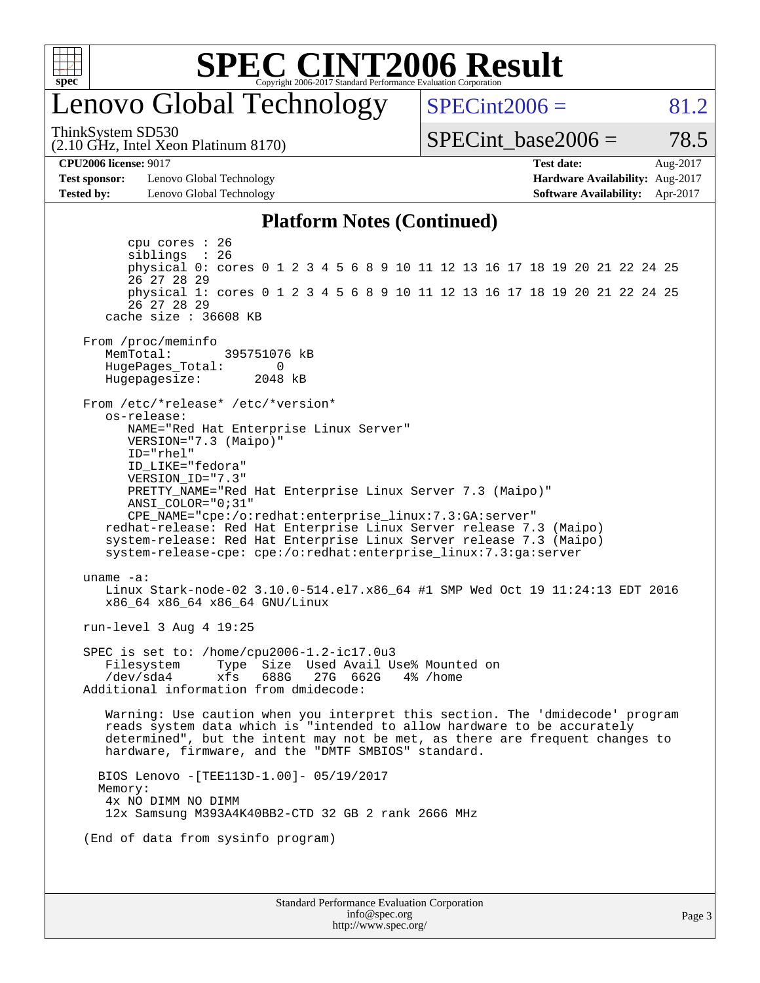

## enovo Global Technology

ThinkSystem SD530

 $SPECint2006 = 81.2$  $SPECint2006 = 81.2$ 

(2.10 GHz, Intel Xeon Platinum 8170)

SPECint base2006 =  $78.5$ 

**[Test sponsor:](http://www.spec.org/auto/cpu2006/Docs/result-fields.html#Testsponsor)** Lenovo Global Technology **[Hardware Availability:](http://www.spec.org/auto/cpu2006/Docs/result-fields.html#HardwareAvailability)** Aug-2017 **[Tested by:](http://www.spec.org/auto/cpu2006/Docs/result-fields.html#Testedby)** Lenovo Global Technology **[Software Availability:](http://www.spec.org/auto/cpu2006/Docs/result-fields.html#SoftwareAvailability)** Apr-2017

**[CPU2006 license:](http://www.spec.org/auto/cpu2006/Docs/result-fields.html#CPU2006license)** 9017 **[Test date:](http://www.spec.org/auto/cpu2006/Docs/result-fields.html#Testdate)** Aug-2017

#### **[Platform Notes \(Continued\)](http://www.spec.org/auto/cpu2006/Docs/result-fields.html#PlatformNotes)**

Standard Performance Evaluation Corporation [info@spec.org](mailto:info@spec.org) <http://www.spec.org/> Page 3 cpu cores : 26 siblings : 26 physical 0: cores 0 1 2 3 4 5 6 8 9 10 11 12 13 16 17 18 19 20 21 22 24 25 26 27 28 29 physical 1: cores 0 1 2 3 4 5 6 8 9 10 11 12 13 16 17 18 19 20 21 22 24 25 26 27 28 29 cache size : 36608 KB From /proc/meminfo MemTotal: 395751076 kB<br>HugePages Total: 0 HugePages\_Total: 0 Hugepagesize: 2048 kB From /etc/\*release\* /etc/\*version\* os-release: NAME="Red Hat Enterprise Linux Server" VERSION="7.3 (Maipo)" ID="rhel" ID\_LIKE="fedora" VERSION\_ID="7.3" PRETTY\_NAME="Red Hat Enterprise Linux Server 7.3 (Maipo)" ANSI\_COLOR="0;31" CPE\_NAME="cpe:/o:redhat:enterprise\_linux:7.3:GA:server" redhat-release: Red Hat Enterprise Linux Server release 7.3 (Maipo) system-release: Red Hat Enterprise Linux Server release 7.3 (Maipo) system-release-cpe: cpe:/o:redhat:enterprise\_linux:7.3:ga:server uname -a: Linux Stark-node-02 3.10.0-514.el7.x86\_64 #1 SMP Wed Oct 19 11:24:13 EDT 2016 x86\_64 x86\_64 x86\_64 GNU/Linux run-level 3 Aug 4 19:25 SPEC is set to: /home/cpu2006-1.2-ic17.0u3 Filesystem Type Size Used Avail Use% Mounted on /dev/sda4 xfs 688G 27G 662G 4% /home Additional information from dmidecode: Warning: Use caution when you interpret this section. The 'dmidecode' program reads system data which is "intended to allow hardware to be accurately determined", but the intent may not be met, as there are frequent changes to hardware, firmware, and the "DMTF SMBIOS" standard. BIOS Lenovo -[TEE113D-1.00]- 05/19/2017 Memory: 4x NO DIMM NO DIMM 12x Samsung M393A4K40BB2-CTD 32 GB 2 rank 2666 MHz (End of data from sysinfo program)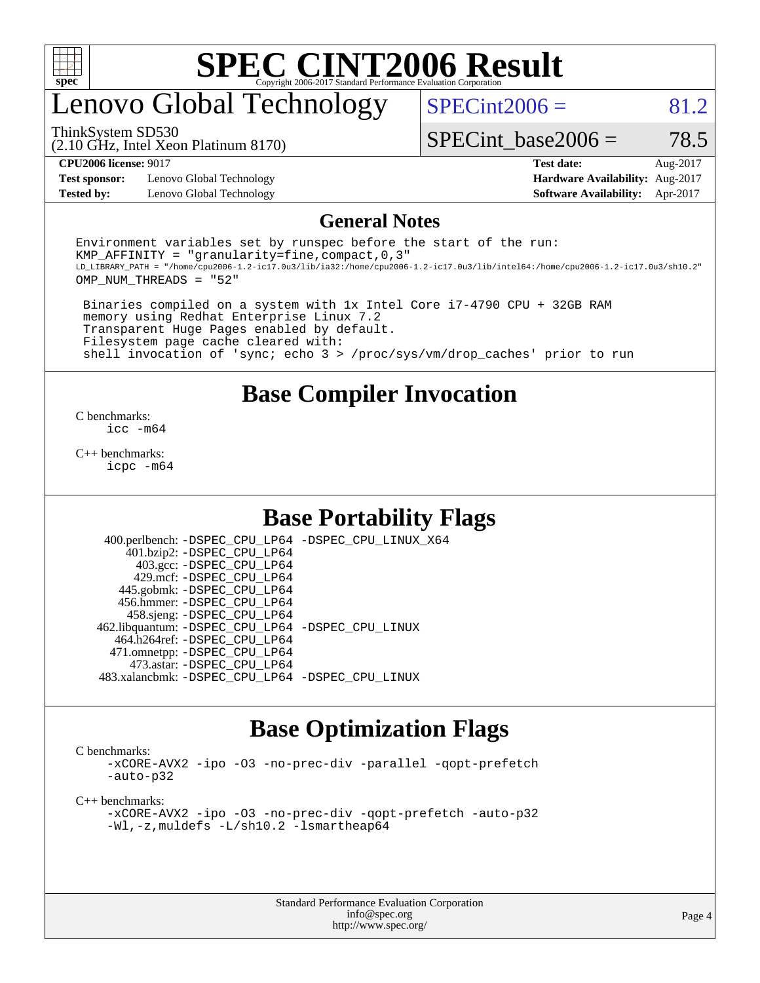

# enovo Global Technology

 $SPECint2006 = 81.2$  $SPECint2006 = 81.2$ 

(2.10 GHz, Intel Xeon Platinum 8170) ThinkSystem SD530

SPECint base2006 =  $78.5$ 

**[Test sponsor:](http://www.spec.org/auto/cpu2006/Docs/result-fields.html#Testsponsor)** Lenovo Global Technology **[Hardware Availability:](http://www.spec.org/auto/cpu2006/Docs/result-fields.html#HardwareAvailability)** Aug-2017 **[Tested by:](http://www.spec.org/auto/cpu2006/Docs/result-fields.html#Testedby)** Lenovo Global Technology **[Software Availability:](http://www.spec.org/auto/cpu2006/Docs/result-fields.html#SoftwareAvailability)** Apr-2017

**[CPU2006 license:](http://www.spec.org/auto/cpu2006/Docs/result-fields.html#CPU2006license)** 9017 **[Test date:](http://www.spec.org/auto/cpu2006/Docs/result-fields.html#Testdate)** Aug-2017

#### **[General Notes](http://www.spec.org/auto/cpu2006/Docs/result-fields.html#GeneralNotes)**

Environment variables set by runspec before the start of the run: KMP AFFINITY = "granularity=fine, compact,  $0,3$ " LD\_LIBRARY\_PATH = "/home/cpu2006-1.2-ic17.0u3/lib/ia32:/home/cpu2006-1.2-ic17.0u3/lib/intel64:/home/cpu2006-1.2-ic17.0u3/sh10.2" OMP\_NUM\_THREADS = "52"

 Binaries compiled on a system with 1x Intel Core i7-4790 CPU + 32GB RAM memory using Redhat Enterprise Linux 7.2 Transparent Huge Pages enabled by default. Filesystem page cache cleared with: shell invocation of 'sync; echo 3 > /proc/sys/vm/drop\_caches' prior to run

### **[Base Compiler Invocation](http://www.spec.org/auto/cpu2006/Docs/result-fields.html#BaseCompilerInvocation)**

[C benchmarks](http://www.spec.org/auto/cpu2006/Docs/result-fields.html#Cbenchmarks): [icc -m64](http://www.spec.org/cpu2006/results/res2017q4/cpu2006-20170918-49693.flags.html#user_CCbase_intel_icc_64bit_bda6cc9af1fdbb0edc3795bac97ada53)

[C++ benchmarks:](http://www.spec.org/auto/cpu2006/Docs/result-fields.html#CXXbenchmarks) [icpc -m64](http://www.spec.org/cpu2006/results/res2017q4/cpu2006-20170918-49693.flags.html#user_CXXbase_intel_icpc_64bit_fc66a5337ce925472a5c54ad6a0de310)

### **[Base Portability Flags](http://www.spec.org/auto/cpu2006/Docs/result-fields.html#BasePortabilityFlags)**

 400.perlbench: [-DSPEC\\_CPU\\_LP64](http://www.spec.org/cpu2006/results/res2017q4/cpu2006-20170918-49693.flags.html#b400.perlbench_basePORTABILITY_DSPEC_CPU_LP64) [-DSPEC\\_CPU\\_LINUX\\_X64](http://www.spec.org/cpu2006/results/res2017q4/cpu2006-20170918-49693.flags.html#b400.perlbench_baseCPORTABILITY_DSPEC_CPU_LINUX_X64) 401.bzip2: [-DSPEC\\_CPU\\_LP64](http://www.spec.org/cpu2006/results/res2017q4/cpu2006-20170918-49693.flags.html#suite_basePORTABILITY401_bzip2_DSPEC_CPU_LP64) 403.gcc: [-DSPEC\\_CPU\\_LP64](http://www.spec.org/cpu2006/results/res2017q4/cpu2006-20170918-49693.flags.html#suite_basePORTABILITY403_gcc_DSPEC_CPU_LP64) 429.mcf: [-DSPEC\\_CPU\\_LP64](http://www.spec.org/cpu2006/results/res2017q4/cpu2006-20170918-49693.flags.html#suite_basePORTABILITY429_mcf_DSPEC_CPU_LP64) 445.gobmk: [-DSPEC\\_CPU\\_LP64](http://www.spec.org/cpu2006/results/res2017q4/cpu2006-20170918-49693.flags.html#suite_basePORTABILITY445_gobmk_DSPEC_CPU_LP64) 456.hmmer: [-DSPEC\\_CPU\\_LP64](http://www.spec.org/cpu2006/results/res2017q4/cpu2006-20170918-49693.flags.html#suite_basePORTABILITY456_hmmer_DSPEC_CPU_LP64) 458.sjeng: [-DSPEC\\_CPU\\_LP64](http://www.spec.org/cpu2006/results/res2017q4/cpu2006-20170918-49693.flags.html#suite_basePORTABILITY458_sjeng_DSPEC_CPU_LP64) 462.libquantum: [-DSPEC\\_CPU\\_LP64](http://www.spec.org/cpu2006/results/res2017q4/cpu2006-20170918-49693.flags.html#suite_basePORTABILITY462_libquantum_DSPEC_CPU_LP64) [-DSPEC\\_CPU\\_LINUX](http://www.spec.org/cpu2006/results/res2017q4/cpu2006-20170918-49693.flags.html#b462.libquantum_baseCPORTABILITY_DSPEC_CPU_LINUX) 464.h264ref: [-DSPEC\\_CPU\\_LP64](http://www.spec.org/cpu2006/results/res2017q4/cpu2006-20170918-49693.flags.html#suite_basePORTABILITY464_h264ref_DSPEC_CPU_LP64) 471.omnetpp: [-DSPEC\\_CPU\\_LP64](http://www.spec.org/cpu2006/results/res2017q4/cpu2006-20170918-49693.flags.html#suite_basePORTABILITY471_omnetpp_DSPEC_CPU_LP64) 473.astar: [-DSPEC\\_CPU\\_LP64](http://www.spec.org/cpu2006/results/res2017q4/cpu2006-20170918-49693.flags.html#suite_basePORTABILITY473_astar_DSPEC_CPU_LP64) 483.xalancbmk: [-DSPEC\\_CPU\\_LP64](http://www.spec.org/cpu2006/results/res2017q4/cpu2006-20170918-49693.flags.html#suite_basePORTABILITY483_xalancbmk_DSPEC_CPU_LP64) [-DSPEC\\_CPU\\_LINUX](http://www.spec.org/cpu2006/results/res2017q4/cpu2006-20170918-49693.flags.html#b483.xalancbmk_baseCXXPORTABILITY_DSPEC_CPU_LINUX)

### **[Base Optimization Flags](http://www.spec.org/auto/cpu2006/Docs/result-fields.html#BaseOptimizationFlags)**

[C benchmarks](http://www.spec.org/auto/cpu2006/Docs/result-fields.html#Cbenchmarks):

[-xCORE-AVX2](http://www.spec.org/cpu2006/results/res2017q4/cpu2006-20170918-49693.flags.html#user_CCbase_f-xCORE-AVX2) [-ipo](http://www.spec.org/cpu2006/results/res2017q4/cpu2006-20170918-49693.flags.html#user_CCbase_f-ipo) [-O3](http://www.spec.org/cpu2006/results/res2017q4/cpu2006-20170918-49693.flags.html#user_CCbase_f-O3) [-no-prec-div](http://www.spec.org/cpu2006/results/res2017q4/cpu2006-20170918-49693.flags.html#user_CCbase_f-no-prec-div) [-parallel](http://www.spec.org/cpu2006/results/res2017q4/cpu2006-20170918-49693.flags.html#user_CCbase_f-parallel) [-qopt-prefetch](http://www.spec.org/cpu2006/results/res2017q4/cpu2006-20170918-49693.flags.html#user_CCbase_f-qopt-prefetch) [-auto-p32](http://www.spec.org/cpu2006/results/res2017q4/cpu2006-20170918-49693.flags.html#user_CCbase_f-auto-p32)

[C++ benchmarks:](http://www.spec.org/auto/cpu2006/Docs/result-fields.html#CXXbenchmarks)

[-xCORE-AVX2](http://www.spec.org/cpu2006/results/res2017q4/cpu2006-20170918-49693.flags.html#user_CXXbase_f-xCORE-AVX2) [-ipo](http://www.spec.org/cpu2006/results/res2017q4/cpu2006-20170918-49693.flags.html#user_CXXbase_f-ipo) [-O3](http://www.spec.org/cpu2006/results/res2017q4/cpu2006-20170918-49693.flags.html#user_CXXbase_f-O3) [-no-prec-div](http://www.spec.org/cpu2006/results/res2017q4/cpu2006-20170918-49693.flags.html#user_CXXbase_f-no-prec-div) [-qopt-prefetch](http://www.spec.org/cpu2006/results/res2017q4/cpu2006-20170918-49693.flags.html#user_CXXbase_f-qopt-prefetch) [-auto-p32](http://www.spec.org/cpu2006/results/res2017q4/cpu2006-20170918-49693.flags.html#user_CXXbase_f-auto-p32) [-Wl,-z,muldefs](http://www.spec.org/cpu2006/results/res2017q4/cpu2006-20170918-49693.flags.html#user_CXXbase_link_force_multiple1_74079c344b956b9658436fd1b6dd3a8a) [-L/sh10.2 -lsmartheap64](http://www.spec.org/cpu2006/results/res2017q4/cpu2006-20170918-49693.flags.html#user_CXXbase_SmartHeap64_63911d860fc08c15fa1d5bf319b9d8d5)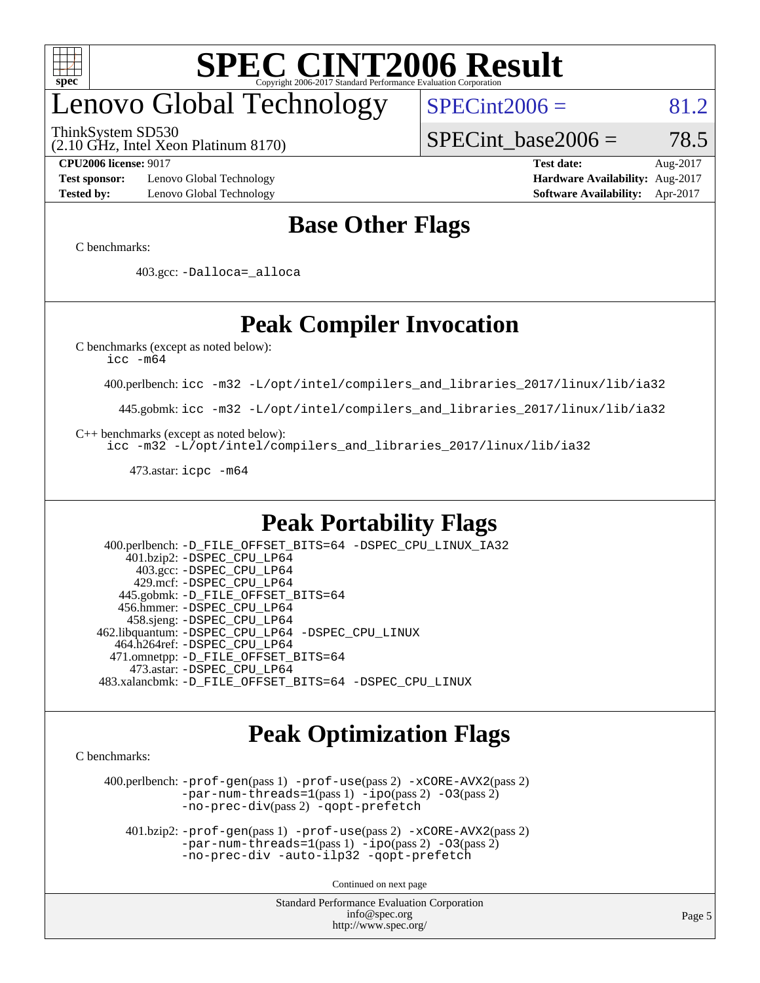

# enovo Global Technology

ThinkSystem SD530

 $SPECint2006 = 81.2$  $SPECint2006 = 81.2$ 

(2.10 GHz, Intel Xeon Platinum 8170)

SPECint base2006 =  $78.5$ 

**[Test sponsor:](http://www.spec.org/auto/cpu2006/Docs/result-fields.html#Testsponsor)** Lenovo Global Technology **[Hardware Availability:](http://www.spec.org/auto/cpu2006/Docs/result-fields.html#HardwareAvailability)** Aug-2017 **[Tested by:](http://www.spec.org/auto/cpu2006/Docs/result-fields.html#Testedby)** Lenovo Global Technology **[Software Availability:](http://www.spec.org/auto/cpu2006/Docs/result-fields.html#SoftwareAvailability)** Apr-2017

**[CPU2006 license:](http://www.spec.org/auto/cpu2006/Docs/result-fields.html#CPU2006license)** 9017 **[Test date:](http://www.spec.org/auto/cpu2006/Docs/result-fields.html#Testdate)** Aug-2017

### **[Base Other Flags](http://www.spec.org/auto/cpu2006/Docs/result-fields.html#BaseOtherFlags)**

[C benchmarks](http://www.spec.org/auto/cpu2006/Docs/result-fields.html#Cbenchmarks):

403.gcc: [-Dalloca=\\_alloca](http://www.spec.org/cpu2006/results/res2017q4/cpu2006-20170918-49693.flags.html#b403.gcc_baseEXTRA_CFLAGS_Dalloca_be3056838c12de2578596ca5467af7f3)

### **[Peak Compiler Invocation](http://www.spec.org/auto/cpu2006/Docs/result-fields.html#PeakCompilerInvocation)**

[C benchmarks \(except as noted below\)](http://www.spec.org/auto/cpu2006/Docs/result-fields.html#Cbenchmarksexceptasnotedbelow):

[icc -m64](http://www.spec.org/cpu2006/results/res2017q4/cpu2006-20170918-49693.flags.html#user_CCpeak_intel_icc_64bit_bda6cc9af1fdbb0edc3795bac97ada53)

400.perlbench: [icc -m32 -L/opt/intel/compilers\\_and\\_libraries\\_2017/linux/lib/ia32](http://www.spec.org/cpu2006/results/res2017q4/cpu2006-20170918-49693.flags.html#user_peakCCLD400_perlbench_intel_icc_c29f3ff5a7ed067b11e4ec10a03f03ae)

445.gobmk: [icc -m32 -L/opt/intel/compilers\\_and\\_libraries\\_2017/linux/lib/ia32](http://www.spec.org/cpu2006/results/res2017q4/cpu2006-20170918-49693.flags.html#user_peakCCLD445_gobmk_intel_icc_c29f3ff5a7ed067b11e4ec10a03f03ae)

[C++ benchmarks \(except as noted below\):](http://www.spec.org/auto/cpu2006/Docs/result-fields.html#CXXbenchmarksexceptasnotedbelow)

[icc -m32 -L/opt/intel/compilers\\_and\\_libraries\\_2017/linux/lib/ia32](http://www.spec.org/cpu2006/results/res2017q4/cpu2006-20170918-49693.flags.html#user_CXXpeak_intel_icc_c29f3ff5a7ed067b11e4ec10a03f03ae)

473.astar: [icpc -m64](http://www.spec.org/cpu2006/results/res2017q4/cpu2006-20170918-49693.flags.html#user_peakCXXLD473_astar_intel_icpc_64bit_fc66a5337ce925472a5c54ad6a0de310)

### **[Peak Portability Flags](http://www.spec.org/auto/cpu2006/Docs/result-fields.html#PeakPortabilityFlags)**

 400.perlbench: [-D\\_FILE\\_OFFSET\\_BITS=64](http://www.spec.org/cpu2006/results/res2017q4/cpu2006-20170918-49693.flags.html#user_peakPORTABILITY400_perlbench_file_offset_bits_64_438cf9856305ebd76870a2c6dc2689ab) [-DSPEC\\_CPU\\_LINUX\\_IA32](http://www.spec.org/cpu2006/results/res2017q4/cpu2006-20170918-49693.flags.html#b400.perlbench_peakCPORTABILITY_DSPEC_CPU_LINUX_IA32) 401.bzip2: [-DSPEC\\_CPU\\_LP64](http://www.spec.org/cpu2006/results/res2017q4/cpu2006-20170918-49693.flags.html#suite_peakPORTABILITY401_bzip2_DSPEC_CPU_LP64) 403.gcc: [-DSPEC\\_CPU\\_LP64](http://www.spec.org/cpu2006/results/res2017q4/cpu2006-20170918-49693.flags.html#suite_peakPORTABILITY403_gcc_DSPEC_CPU_LP64) 429.mcf: [-DSPEC\\_CPU\\_LP64](http://www.spec.org/cpu2006/results/res2017q4/cpu2006-20170918-49693.flags.html#suite_peakPORTABILITY429_mcf_DSPEC_CPU_LP64) 445.gobmk: [-D\\_FILE\\_OFFSET\\_BITS=64](http://www.spec.org/cpu2006/results/res2017q4/cpu2006-20170918-49693.flags.html#user_peakPORTABILITY445_gobmk_file_offset_bits_64_438cf9856305ebd76870a2c6dc2689ab) 456.hmmer: [-DSPEC\\_CPU\\_LP64](http://www.spec.org/cpu2006/results/res2017q4/cpu2006-20170918-49693.flags.html#suite_peakPORTABILITY456_hmmer_DSPEC_CPU_LP64) 458.sjeng: [-DSPEC\\_CPU\\_LP64](http://www.spec.org/cpu2006/results/res2017q4/cpu2006-20170918-49693.flags.html#suite_peakPORTABILITY458_sjeng_DSPEC_CPU_LP64) 462.libquantum: [-DSPEC\\_CPU\\_LP64](http://www.spec.org/cpu2006/results/res2017q4/cpu2006-20170918-49693.flags.html#suite_peakPORTABILITY462_libquantum_DSPEC_CPU_LP64) [-DSPEC\\_CPU\\_LINUX](http://www.spec.org/cpu2006/results/res2017q4/cpu2006-20170918-49693.flags.html#b462.libquantum_peakCPORTABILITY_DSPEC_CPU_LINUX) 464.h264ref: [-DSPEC\\_CPU\\_LP64](http://www.spec.org/cpu2006/results/res2017q4/cpu2006-20170918-49693.flags.html#suite_peakPORTABILITY464_h264ref_DSPEC_CPU_LP64) 471.omnetpp: [-D\\_FILE\\_OFFSET\\_BITS=64](http://www.spec.org/cpu2006/results/res2017q4/cpu2006-20170918-49693.flags.html#user_peakPORTABILITY471_omnetpp_file_offset_bits_64_438cf9856305ebd76870a2c6dc2689ab) 473.astar: [-DSPEC\\_CPU\\_LP64](http://www.spec.org/cpu2006/results/res2017q4/cpu2006-20170918-49693.flags.html#suite_peakPORTABILITY473_astar_DSPEC_CPU_LP64) 483.xalancbmk: [-D\\_FILE\\_OFFSET\\_BITS=64](http://www.spec.org/cpu2006/results/res2017q4/cpu2006-20170918-49693.flags.html#user_peakPORTABILITY483_xalancbmk_file_offset_bits_64_438cf9856305ebd76870a2c6dc2689ab) [-DSPEC\\_CPU\\_LINUX](http://www.spec.org/cpu2006/results/res2017q4/cpu2006-20170918-49693.flags.html#b483.xalancbmk_peakCXXPORTABILITY_DSPEC_CPU_LINUX)

### **[Peak Optimization Flags](http://www.spec.org/auto/cpu2006/Docs/result-fields.html#PeakOptimizationFlags)**

[C benchmarks](http://www.spec.org/auto/cpu2006/Docs/result-fields.html#Cbenchmarks):

 400.perlbench: [-prof-gen](http://www.spec.org/cpu2006/results/res2017q4/cpu2006-20170918-49693.flags.html#user_peakPASS1_CFLAGSPASS1_LDCFLAGS400_perlbench_prof_gen_e43856698f6ca7b7e442dfd80e94a8fc)(pass 1) [-prof-use](http://www.spec.org/cpu2006/results/res2017q4/cpu2006-20170918-49693.flags.html#user_peakPASS2_CFLAGSPASS2_LDCFLAGS400_perlbench_prof_use_bccf7792157ff70d64e32fe3e1250b55)(pass 2) [-xCORE-AVX2](http://www.spec.org/cpu2006/results/res2017q4/cpu2006-20170918-49693.flags.html#user_peakPASS2_CFLAGSPASS2_LDCFLAGS400_perlbench_f-xCORE-AVX2)(pass 2) [-par-num-threads=1](http://www.spec.org/cpu2006/results/res2017q4/cpu2006-20170918-49693.flags.html#user_peakPASS1_CFLAGSPASS1_LDCFLAGS400_perlbench_par_num_threads_786a6ff141b4e9e90432e998842df6c2)(pass 1) [-ipo](http://www.spec.org/cpu2006/results/res2017q4/cpu2006-20170918-49693.flags.html#user_peakPASS2_CFLAGSPASS2_LDCFLAGS400_perlbench_f-ipo)(pass 2) [-O3](http://www.spec.org/cpu2006/results/res2017q4/cpu2006-20170918-49693.flags.html#user_peakPASS2_CFLAGSPASS2_LDCFLAGS400_perlbench_f-O3)(pass 2) [-no-prec-div](http://www.spec.org/cpu2006/results/res2017q4/cpu2006-20170918-49693.flags.html#user_peakPASS2_CFLAGSPASS2_LDCFLAGS400_perlbench_f-no-prec-div)(pass 2) [-qopt-prefetch](http://www.spec.org/cpu2006/results/res2017q4/cpu2006-20170918-49693.flags.html#user_peakCOPTIMIZE400_perlbench_f-qopt-prefetch)

 401.bzip2: [-prof-gen](http://www.spec.org/cpu2006/results/res2017q4/cpu2006-20170918-49693.flags.html#user_peakPASS1_CFLAGSPASS1_LDCFLAGS401_bzip2_prof_gen_e43856698f6ca7b7e442dfd80e94a8fc)(pass 1) [-prof-use](http://www.spec.org/cpu2006/results/res2017q4/cpu2006-20170918-49693.flags.html#user_peakPASS2_CFLAGSPASS2_LDCFLAGS401_bzip2_prof_use_bccf7792157ff70d64e32fe3e1250b55)(pass 2) [-xCORE-AVX2](http://www.spec.org/cpu2006/results/res2017q4/cpu2006-20170918-49693.flags.html#user_peakPASS2_CFLAGSPASS2_LDCFLAGS401_bzip2_f-xCORE-AVX2)(pass 2)  $-par-num-threads=1(pass 1) -ipo(pass 2) -O3(pass 2)$  $-par-num-threads=1(pass 1) -ipo(pass 2) -O3(pass 2)$  $-par-num-threads=1(pass 1) -ipo(pass 2) -O3(pass 2)$  $-par-num-threads=1(pass 1) -ipo(pass 2) -O3(pass 2)$  $-par-num-threads=1(pass 1) -ipo(pass 2) -O3(pass 2)$  $-par-num-threads=1(pass 1) -ipo(pass 2) -O3(pass 2)$ [-no-prec-div](http://www.spec.org/cpu2006/results/res2017q4/cpu2006-20170918-49693.flags.html#user_peakCOPTIMIZEPASS2_CFLAGSPASS2_LDCFLAGS401_bzip2_f-no-prec-div) [-auto-ilp32](http://www.spec.org/cpu2006/results/res2017q4/cpu2006-20170918-49693.flags.html#user_peakCOPTIMIZE401_bzip2_f-auto-ilp32) [-qopt-prefetch](http://www.spec.org/cpu2006/results/res2017q4/cpu2006-20170918-49693.flags.html#user_peakCOPTIMIZE401_bzip2_f-qopt-prefetch)

Continued on next page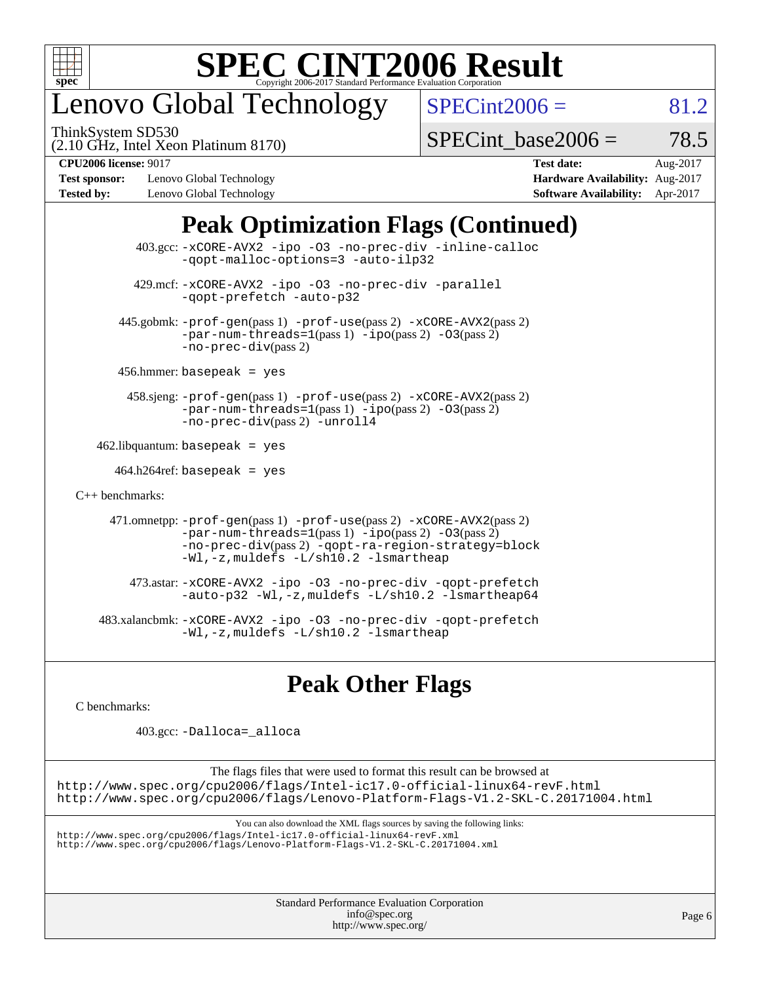

## enovo Global Technology

ThinkSystem SD530

 $SPECint2006 = 81.2$  $SPECint2006 = 81.2$ 

(2.10 GHz, Intel Xeon Platinum 8170)

 $SPECTnt\_base2006 = 78.5$ 

**[Test sponsor:](http://www.spec.org/auto/cpu2006/Docs/result-fields.html#Testsponsor)** Lenovo Global Technology **[Hardware Availability:](http://www.spec.org/auto/cpu2006/Docs/result-fields.html#HardwareAvailability)** Aug-2017 **[Tested by:](http://www.spec.org/auto/cpu2006/Docs/result-fields.html#Testedby)** Lenovo Global Technology **[Software Availability:](http://www.spec.org/auto/cpu2006/Docs/result-fields.html#SoftwareAvailability)** Apr-2017

**[CPU2006 license:](http://www.spec.org/auto/cpu2006/Docs/result-fields.html#CPU2006license)** 9017 **[Test date:](http://www.spec.org/auto/cpu2006/Docs/result-fields.html#Testdate)** Aug-2017

## **[Peak Optimization Flags \(Continued\)](http://www.spec.org/auto/cpu2006/Docs/result-fields.html#PeakOptimizationFlags)**

|                      | $403.\text{sec}: -x \text{CORE-AVX2}$ -ipo -03 -no-prec-div -inline-calloc<br>-gopt-malloc-options=3 -auto-ilp32                                                                                                              |
|----------------------|-------------------------------------------------------------------------------------------------------------------------------------------------------------------------------------------------------------------------------|
|                      | 429.mcf: -xCORE-AVX2 -ipo -03 -no-prec-div -parallel<br>-gopt-prefetch -auto-p32                                                                                                                                              |
|                      | 445.gobmk: -prof-gen(pass 1) -prof-use(pass 2) -xCORE-AVX2(pass 2)<br>$-par-num-threads=1(pass 1) -ipo(pass 2) -03(pass 2)$<br>$-no-prec-div(pass 2)$                                                                         |
|                      | $456.$ hmmer: basepeak = yes                                                                                                                                                                                                  |
|                      | 458.sjeng: -prof-gen(pass 1) -prof-use(pass 2) -xCORE-AVX2(pass 2)<br>$-par-num-threads=1(pass 1) -ipo(pass 2) -03(pass 2)$<br>-no-prec-div(pass 2) -unroll4                                                                  |
|                      | $462$ .libquantum: basepeak = yes                                                                                                                                                                                             |
|                      | $464.h264 \text{ref}$ : basepeak = yes                                                                                                                                                                                        |
| $C_{++}$ benchmarks: |                                                                                                                                                                                                                               |
|                      | 471.omnetpp: -prof-gen(pass 1) -prof-use(pass 2) -xCORE-AVX2(pass 2)<br>$-par-num-threads=1(pass 1) -ipo(pass 2) -03(pass 2)$<br>-no-prec-div(pass 2) -qopt-ra-region-strategy=block<br>-Wl,-z, muldefs -L/sh10.2 -lsmartheap |
|                      | 473.astar: -xCORE-AVX2 -ipo -03 -no-prec-div -qopt-prefetch<br>$-$ auto-p32 -Wl,-z, muldefs -L/sh10.2 -lsmartheap64                                                                                                           |
|                      | 483.xalancbmk: -xCORE-AVX2 -ipo -03 -no-prec-div -qopt-prefetch<br>$-Wl$ , $-z$ , muldefs $-L/\nabla L$ , 2 $-l$ smartheap                                                                                                    |

## **[Peak Other Flags](http://www.spec.org/auto/cpu2006/Docs/result-fields.html#PeakOtherFlags)**

[C benchmarks](http://www.spec.org/auto/cpu2006/Docs/result-fields.html#Cbenchmarks):

403.gcc: [-Dalloca=\\_alloca](http://www.spec.org/cpu2006/results/res2017q4/cpu2006-20170918-49693.flags.html#b403.gcc_peakEXTRA_CFLAGS_Dalloca_be3056838c12de2578596ca5467af7f3)

The flags files that were used to format this result can be browsed at <http://www.spec.org/cpu2006/flags/Intel-ic17.0-official-linux64-revF.html> <http://www.spec.org/cpu2006/flags/Lenovo-Platform-Flags-V1.2-SKL-C.20171004.html>

You can also download the XML flags sources by saving the following links:

<http://www.spec.org/cpu2006/flags/Intel-ic17.0-official-linux64-revF.xml> <http://www.spec.org/cpu2006/flags/Lenovo-Platform-Flags-V1.2-SKL-C.20171004.xml>